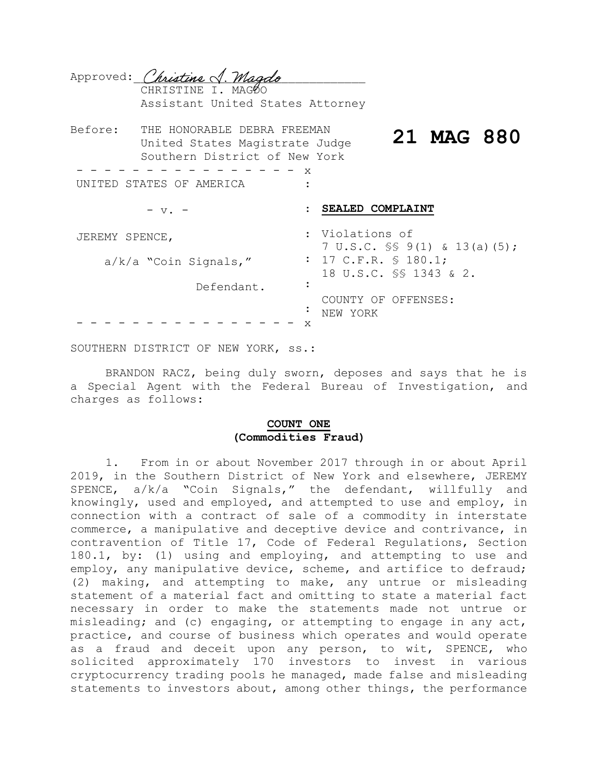|                               | Approved: Christine J. Magdo<br>CHRISTINE I. MAGOO<br>Assistant United States Attorney         |   |                                                                                                                       |  |
|-------------------------------|------------------------------------------------------------------------------------------------|---|-----------------------------------------------------------------------------------------------------------------------|--|
| Before:                       | THE HONORABLE DEBRA FREEMAN<br>United States Magistrate Judge<br>Southern District of New York |   | 21 MAG 880                                                                                                            |  |
| X<br>UNITED STATES OF AMERICA |                                                                                                |   |                                                                                                                       |  |
|                               | $- v.$                                                                                         |   | SEALED COMPLAINT                                                                                                      |  |
| JEREMY SPENCE,                |                                                                                                |   | : Violations of<br>7 U.S.C. $\frac{1}{5}$ 9(1) & 13(a)(5);<br>: 17 C.F.R. $\text{S}$ 180.1;<br>18 U.S.C. SS 1343 & 2. |  |
|                               | $a/k/a$ "Coin Signals,"                                                                        |   |                                                                                                                       |  |
|                               | Defendant.                                                                                     |   |                                                                                                                       |  |
|                               |                                                                                                | х | COUNTY OF OFFENSES:<br>NEW YORK                                                                                       |  |

SOUTHERN DISTRICT OF NEW YORK, ss.:

BRANDON RACZ, being duly sworn, deposes and says that he is a Special Agent with the Federal Bureau of Investigation, and charges as follows:

### **COUNT ONE (Commodities Fraud)**

1. From in or about November 2017 through in or about April 2019, in the Southern District of New York and elsewhere, JEREMY SPENCE, a/k/a "Coin Signals," the defendant, willfully and knowingly, used and employed, and attempted to use and employ, in connection with a contract of sale of a commodity in interstate commerce, a manipulative and deceptive device and contrivance, in contravention of Title 17, Code of Federal Regulations, Section 180.1, by: (1) using and employing, and attempting to use and employ, any manipulative device, scheme, and artifice to defraud; (2) making, and attempting to make, any untrue or misleading statement of a material fact and omitting to state a material fact necessary in order to make the statements made not untrue or misleading; and (c) engaging, or attempting to engage in any act, practice, and course of business which operates and would operate as a fraud and deceit upon any person, to wit, SPENCE, who solicited approximately 170 investors to invest in various cryptocurrency trading pools he managed, made false and misleading statements to investors about, among other things, the performance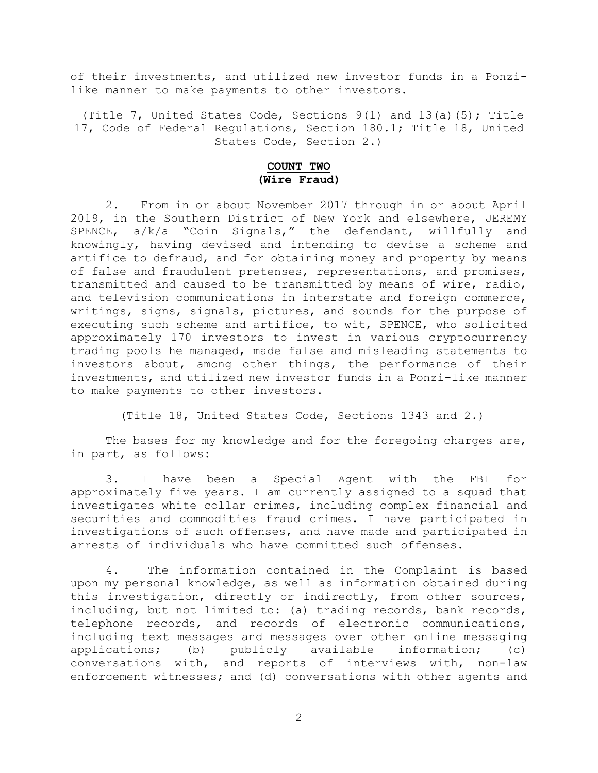of their investments, and utilized new investor funds in a Ponzilike manner to make payments to other investors.

(Title 7, United States Code, Sections  $9(1)$  and  $13(a)(5)$ ; Title 17, Code of Federal Regulations, Section 180.1; Title 18, United States Code, Section 2.)

# **COUNT TWO (Wire Fraud)**

2. From in or about November 2017 through in or about April 2019, in the Southern District of New York and elsewhere, JEREMY SPENCE, a/k/a "Coin Signals," the defendant, willfully and knowingly, having devised and intending to devise a scheme and artifice to defraud, and for obtaining money and property by means of false and fraudulent pretenses, representations, and promises, transmitted and caused to be transmitted by means of wire, radio, and television communications in interstate and foreign commerce, writings, signs, signals, pictures, and sounds for the purpose of executing such scheme and artifice, to wit, SPENCE, who solicited approximately 170 investors to invest in various cryptocurrency trading pools he managed, made false and misleading statements to investors about, among other things, the performance of their investments, and utilized new investor funds in a Ponzi-like manner to make payments to other investors.

(Title 18, United States Code, Sections 1343 and 2.)

The bases for my knowledge and for the foregoing charges are, in part, as follows:

3. I have been a Special Agent with the FBI for approximately five years. I am currently assigned to a squad that investigates white collar crimes, including complex financial and securities and commodities fraud crimes. I have participated in investigations of such offenses, and have made and participated in arrests of individuals who have committed such offenses.

4. The information contained in the Complaint is based upon my personal knowledge, as well as information obtained during this investigation, directly or indirectly, from other sources, including, but not limited to: (a) trading records, bank records, telephone records, and records of electronic communications, including text messages and messages over other online messaging applications; (b) publicly available information; (c) conversations with, and reports of interviews with, non-law enforcement witnesses; and (d) conversations with other agents and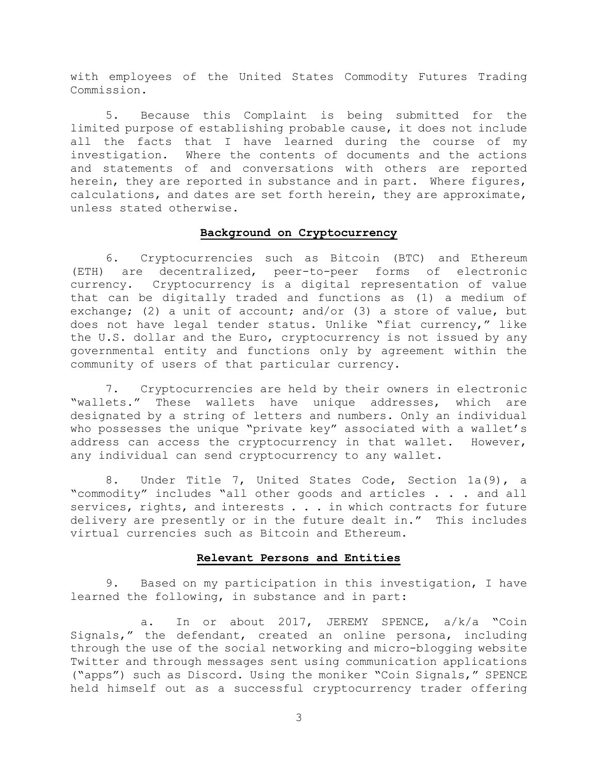with employees of the United States Commodity Futures Trading Commission.

5. Because this Complaint is being submitted for the limited purpose of establishing probable cause, it does not include all the facts that I have learned during the course of my investigation. Where the contents of documents and the actions and statements of and conversations with others are reported herein, they are reported in substance and in part. Where figures, calculations, and dates are set forth herein, they are approximate, unless stated otherwise.

#### **Background on Cryptocurrency**

6. Cryptocurrencies such as Bitcoin (BTC) and Ethereum (ETH) are decentralized, peer-to-peer forms of electronic currency. Cryptocurrency is a digital representation of value that can be digitally traded and functions as (1) a medium of exchange; (2) a unit of account; and/or (3) a store of value, but does not have legal tender status. Unlike "fiat currency," like the U.S. dollar and the Euro, cryptocurrency is not issued by any governmental entity and functions only by agreement within the community of users of that particular currency.

7. Cryptocurrencies are held by their owners in electronic "wallets." These wallets have unique addresses, which are designated by a string of letters and numbers. Only an individual who possesses the unique "private key" associated with a wallet's address can access the cryptocurrency in that wallet. However, any individual can send cryptocurrency to any wallet.

8. Under Title 7, United States Code, Section 1a(9), a "commodity" includes "all other goods and articles . . . and all services, rights, and interests . . . in which contracts for future delivery are presently or in the future dealt in." This includes virtual currencies such as Bitcoin and Ethereum.

#### **Relevant Persons and Entities**

9. Based on my participation in this investigation, I have learned the following, in substance and in part:

a. In or about 2017, JEREMY SPENCE, a/k/a "Coin Signals," the defendant, created an online persona, including through the use of the social networking and micro-blogging website Twitter and through messages sent using communication applications ("apps") such as Discord. Using the moniker "Coin Signals," SPENCE held himself out as a successful cryptocurrency trader offering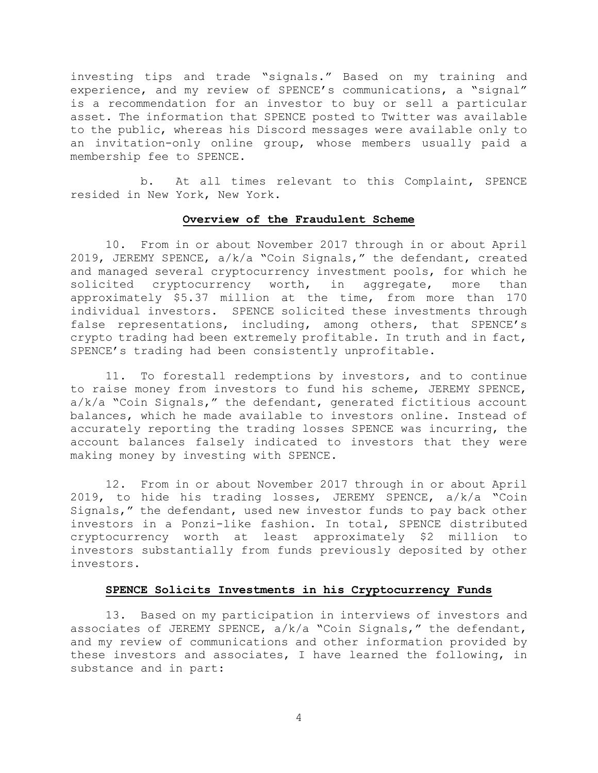investing tips and trade "signals." Based on my training and experience, and my review of SPENCE's communications, a "signal" is a recommendation for an investor to buy or sell a particular asset. The information that SPENCE posted to Twitter was available to the public, whereas his Discord messages were available only to an invitation-only online group, whose members usually paid a membership fee to SPENCE.

b. At all times relevant to this Complaint, SPENCE resided in New York, New York.

# **Overview of the Fraudulent Scheme**

10. From in or about November 2017 through in or about April 2019, JEREMY SPENCE, a/k/a "Coin Signals," the defendant, created and managed several cryptocurrency investment pools, for which he solicited cryptocurrency worth, in aggregate, more than approximately \$5.37 million at the time, from more than 170 individual investors. SPENCE solicited these investments through false representations, including, among others, that SPENCE's crypto trading had been extremely profitable. In truth and in fact, SPENCE's trading had been consistently unprofitable.

11. To forestall redemptions by investors, and to continue to raise money from investors to fund his scheme, JEREMY SPENCE, a/k/a "Coin Signals," the defendant, generated fictitious account balances, which he made available to investors online. Instead of accurately reporting the trading losses SPENCE was incurring, the account balances falsely indicated to investors that they were making money by investing with SPENCE.

12. From in or about November 2017 through in or about April 2019, to hide his trading losses, JEREMY SPENCE, a/k/a "Coin Signals," the defendant, used new investor funds to pay back other investors in a Ponzi-like fashion. In total, SPENCE distributed cryptocurrency worth at least approximately \$2 million to investors substantially from funds previously deposited by other investors.

### **SPENCE Solicits Investments in his Cryptocurrency Funds**

13. Based on my participation in interviews of investors and associates of JEREMY SPENCE, a/k/a "Coin Signals," the defendant, and my review of communications and other information provided by these investors and associates, I have learned the following, in substance and in part: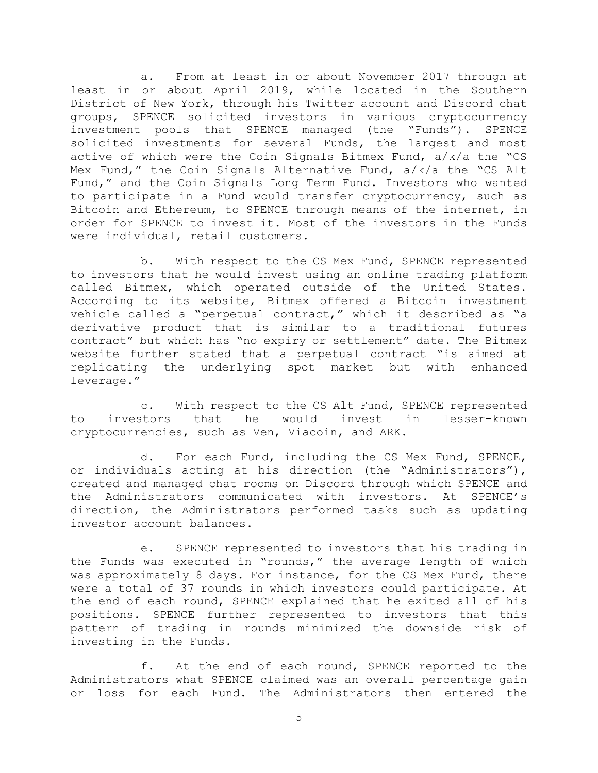a. From at least in or about November 2017 through at least in or about April 2019, while located in the Southern District of New York, through his Twitter account and Discord chat groups, SPENCE solicited investors in various cryptocurrency investment pools that SPENCE managed (the "Funds"). SPENCE solicited investments for several Funds, the largest and most active of which were the Coin Signals Bitmex Fund, a/k/a the "CS Mex Fund," the Coin Signals Alternative Fund, a/k/a the "CS Alt Fund," and the Coin Signals Long Term Fund. Investors who wanted to participate in a Fund would transfer cryptocurrency, such as Bitcoin and Ethereum, to SPENCE through means of the internet, in order for SPENCE to invest it. Most of the investors in the Funds were individual, retail customers.

b. With respect to the CS Mex Fund, SPENCE represented to investors that he would invest using an online trading platform called Bitmex, which operated outside of the United States. According to its website, Bitmex offered a Bitcoin investment vehicle called a "perpetual contract," which it described as "a derivative product that is similar to a traditional futures contract" but which has "no expiry or settlement" date. The Bitmex website further stated that a perpetual contract "is aimed at replicating the underlying spot market but with enhanced leverage."

c. With respect to the CS Alt Fund, SPENCE represented to investors that he would invest in lesser-known cryptocurrencies, such as Ven, Viacoin, and ARK.

d. For each Fund, including the CS Mex Fund, SPENCE, or individuals acting at his direction (the "Administrators"), created and managed chat rooms on Discord through which SPENCE and the Administrators communicated with investors. At SPENCE's direction, the Administrators performed tasks such as updating investor account balances.

e. SPENCE represented to investors that his trading in the Funds was executed in "rounds," the average length of which was approximately 8 days. For instance, for the CS Mex Fund, there were a total of 37 rounds in which investors could participate. At the end of each round, SPENCE explained that he exited all of his positions. SPENCE further represented to investors that this pattern of trading in rounds minimized the downside risk of investing in the Funds.

f. At the end of each round, SPENCE reported to the Administrators what SPENCE claimed was an overall percentage gain or loss for each Fund. The Administrators then entered the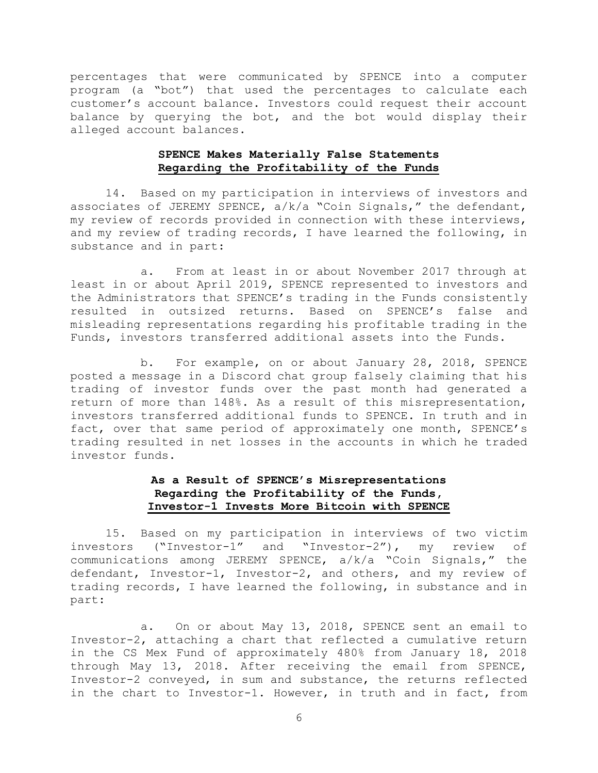percentages that were communicated by SPENCE into a computer program (a "bot") that used the percentages to calculate each customer's account balance. Investors could request their account balance by querying the bot, and the bot would display their alleged account balances.

### **SPENCE Makes Materially False Statements Regarding the Profitability of the Funds**

14. Based on my participation in interviews of investors and associates of JEREMY SPENCE, a/k/a "Coin Signals," the defendant, my review of records provided in connection with these interviews, and my review of trading records, I have learned the following, in substance and in part:

a. From at least in or about November 2017 through at least in or about April 2019, SPENCE represented to investors and the Administrators that SPENCE's trading in the Funds consistently resulted in outsized returns. Based on SPENCE's false and misleading representations regarding his profitable trading in the Funds, investors transferred additional assets into the Funds.

b. For example, on or about January 28, 2018, SPENCE posted a message in a Discord chat group falsely claiming that his trading of investor funds over the past month had generated a return of more than 148%. As a result of this misrepresentation, investors transferred additional funds to SPENCE. In truth and in fact, over that same period of approximately one month, SPENCE's trading resulted in net losses in the accounts in which he traded investor funds.

# **As a Result of SPENCE's Misrepresentations Regarding the Profitability of the Funds, Investor-1 Invests More Bitcoin with SPENCE**

15. Based on my participation in interviews of two victim investors ("Investor-1" and "Investor-2"), my review of communications among JEREMY SPENCE, a/k/a "Coin Signals," the defendant, Investor-1, Investor-2, and others, and my review of trading records, I have learned the following, in substance and in part:

a. On or about May 13, 2018, SPENCE sent an email to Investor-2, attaching a chart that reflected a cumulative return in the CS Mex Fund of approximately 480% from January 18, 2018 through May 13, 2018. After receiving the email from SPENCE, Investor-2 conveyed, in sum and substance, the returns reflected in the chart to Investor-1. However, in truth and in fact, from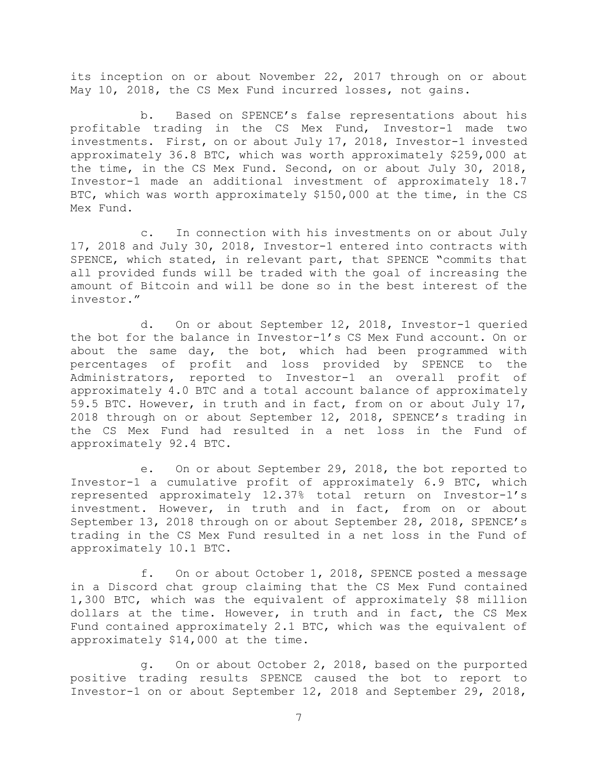its inception on or about November 22, 2017 through on or about May 10, 2018, the CS Mex Fund incurred losses, not gains.

b. Based on SPENCE's false representations about his profitable trading in the CS Mex Fund, Investor-1 made two investments. First, on or about July 17, 2018, Investor-1 invested approximately 36.8 BTC, which was worth approximately \$259,000 at the time, in the CS Mex Fund. Second, on or about July 30, 2018, Investor-1 made an additional investment of approximately 18.7 BTC, which was worth approximately \$150,000 at the time, in the CS Mex Fund.

c. In connection with his investments on or about July 17, 2018 and July 30, 2018, Investor-1 entered into contracts with SPENCE, which stated, in relevant part, that SPENCE "commits that all provided funds will be traded with the goal of increasing the amount of Bitcoin and will be done so in the best interest of the investor."

d. On or about September 12, 2018, Investor-1 queried the bot for the balance in Investor-1's CS Mex Fund account. On or about the same day, the bot, which had been programmed with percentages of profit and loss provided by SPENCE to the Administrators, reported to Investor-1 an overall profit of approximately 4.0 BTC and a total account balance of approximately 59.5 BTC. However, in truth and in fact, from on or about July 17, 2018 through on or about September 12, 2018, SPENCE's trading in the CS Mex Fund had resulted in a net loss in the Fund of approximately 92.4 BTC.

e. On or about September 29, 2018, the bot reported to Investor-1 a cumulative profit of approximately 6.9 BTC, which represented approximately 12.37% total return on Investor-1's investment. However, in truth and in fact, from on or about September 13, 2018 through on or about September 28, 2018, SPENCE's trading in the CS Mex Fund resulted in a net loss in the Fund of approximately 10.1 BTC.

f. On or about October 1, 2018, SPENCE posted a message in a Discord chat group claiming that the CS Mex Fund contained 1,300 BTC, which was the equivalent of approximately \$8 million dollars at the time. However, in truth and in fact, the CS Mex Fund contained approximately 2.1 BTC, which was the equivalent of approximately \$14,000 at the time.

g. On or about October 2, 2018, based on the purported positive trading results SPENCE caused the bot to report to Investor-1 on or about September 12, 2018 and September 29, 2018,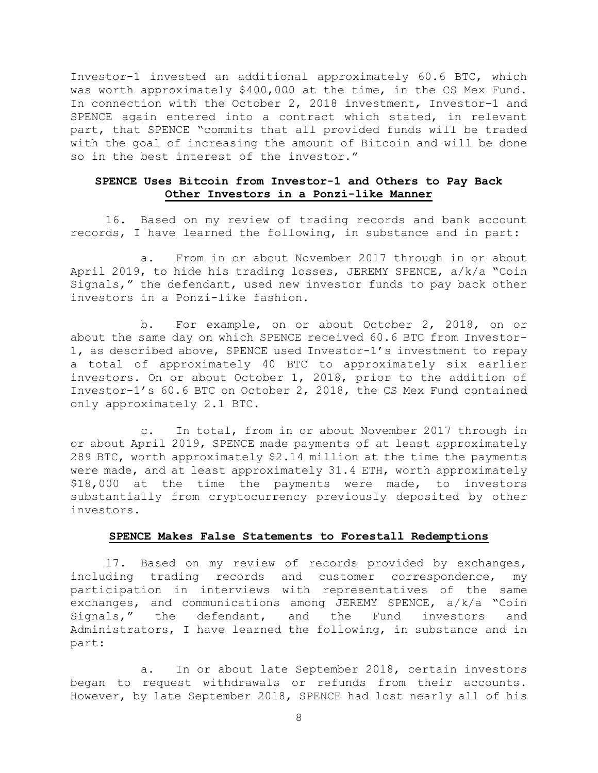Investor-1 invested an additional approximately 60.6 BTC, which was worth approximately \$400,000 at the time, in the CS Mex Fund. In connection with the October 2, 2018 investment, Investor-1 and SPENCE again entered into a contract which stated, in relevant part, that SPENCE "commits that all provided funds will be traded with the goal of increasing the amount of Bitcoin and will be done so in the best interest of the investor."

### **SPENCE Uses Bitcoin from Investor-1 and Others to Pay Back Other Investors in a Ponzi-like Manner**

16. Based on my review of trading records and bank account records, I have learned the following, in substance and in part:

a. From in or about November 2017 through in or about April 2019, to hide his trading losses, JEREMY SPENCE, a/k/a "Coin Signals," the defendant, used new investor funds to pay back other investors in a Ponzi-like fashion.

b. For example, on or about October 2, 2018, on or about the same day on which SPENCE received 60.6 BTC from Investor-1, as described above, SPENCE used Investor-1's investment to repay a total of approximately 40 BTC to approximately six earlier investors. On or about October 1, 2018, prior to the addition of Investor-1's 60.6 BTC on October 2, 2018, the CS Mex Fund contained only approximately 2.1 BTC.

c. In total, from in or about November 2017 through in or about April 2019, SPENCE made payments of at least approximately 289 BTC, worth approximately \$2.14 million at the time the payments were made, and at least approximately 31.4 ETH, worth approximately \$18,000 at the time the payments were made, to investors substantially from cryptocurrency previously deposited by other investors.

#### **SPENCE Makes False Statements to Forestall Redemptions**

17. Based on my review of records provided by exchanges, including trading records and customer correspondence, my participation in interviews with representatives of the same exchanges, and communications among JEREMY SPENCE, a/k/a "Coin Signals," the defendant, and the Fund investors and Administrators, I have learned the following, in substance and in part:

a. In or about late September 2018, certain investors began to request withdrawals or refunds from their accounts. However, by late September 2018, SPENCE had lost nearly all of his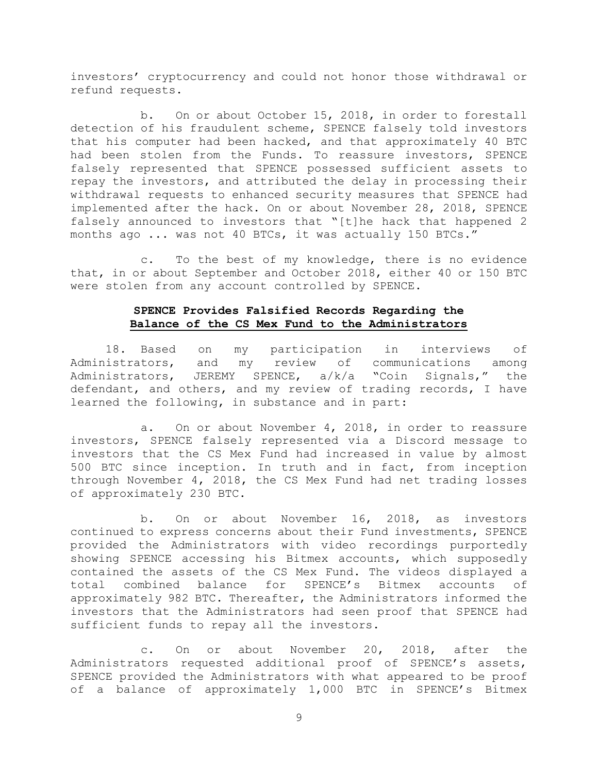investors' cryptocurrency and could not honor those withdrawal or refund requests.

b. On or about October 15, 2018, in order to forestall detection of his fraudulent scheme, SPENCE falsely told investors that his computer had been hacked, and that approximately 40 BTC had been stolen from the Funds. To reassure investors, SPENCE falsely represented that SPENCE possessed sufficient assets to repay the investors, and attributed the delay in processing their withdrawal requests to enhanced security measures that SPENCE had implemented after the hack. On or about November 28, 2018, SPENCE falsely announced to investors that "[t]he hack that happened 2 months ago ... was not 40 BTCs, it was actually 150 BTCs."

c. To the best of my knowledge, there is no evidence that, in or about September and October 2018, either 40 or 150 BTC were stolen from any account controlled by SPENCE.

# **SPENCE Provides Falsified Records Regarding the Balance of the CS Mex Fund to the Administrators**

18. Based on my participation in interviews of Administrators, and my review of communications among Administrators, JEREMY SPENCE, a/k/a "Coin Signals," the defendant, and others, and my review of trading records, I have learned the following, in substance and in part:

a. On or about November 4, 2018, in order to reassure investors, SPENCE falsely represented via a Discord message to investors that the CS Mex Fund had increased in value by almost 500 BTC since inception. In truth and in fact, from inception through November 4, 2018, the CS Mex Fund had net trading losses of approximately 230 BTC.

b. On or about November 16, 2018, as investors continued to express concerns about their Fund investments, SPENCE provided the Administrators with video recordings purportedly showing SPENCE accessing his Bitmex accounts, which supposedly contained the assets of the CS Mex Fund. The videos displayed a total combined balance for SPENCE's Bitmex accounts of approximately 982 BTC. Thereafter, the Administrators informed the investors that the Administrators had seen proof that SPENCE had sufficient funds to repay all the investors.

c. On or about November 20, 2018, after the Administrators requested additional proof of SPENCE's assets, SPENCE provided the Administrators with what appeared to be proof of a balance of approximately 1,000 BTC in SPENCE's Bitmex

9